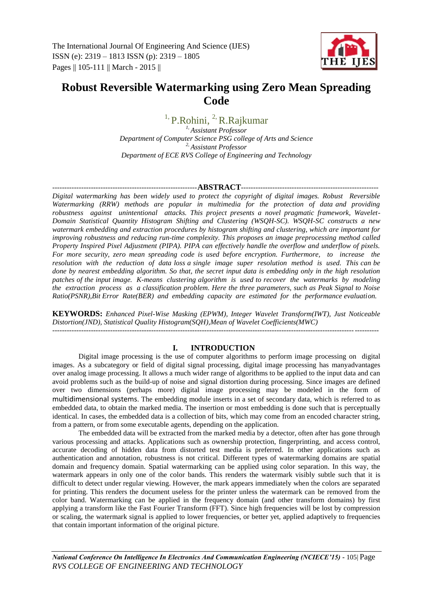The International Journal Of Engineering And Science (IJES) ISSN (e): 2319 – 1813 ISSN (p): 2319 – 1805 Pages || 105-111 || March - 2015 ||



# **Robust Reversible Watermarking using Zero Mean Spreading Code**

<sup>1,</sup> P.Rohini, <sup>2,</sup> R.Rajkumar

*1, Assistant Professor Department of Computer Science PSG college of Arts and Science 2, Assistant Professor Department of ECE RVS College of Engineering and Technology*

### ------------------------------------------------------------**ABSTRACT**---------------------------------------------------------

*Digital watermarking has been widely used to protect the copyright of digital images. Robust Reversible Watermarking (RRW) methods are popular in multimedia for the protection of data and providing robustness against unintentional attacks. This project presents a novel pragmatic framework, Wavelet-Domain Statistical Quantity Histogram Shifting and Clustering (WSQH-SC). WSQH-SC constructs a new watermark embedding and extraction procedures by histogram shifting and clustering, which are important for improving robustness and reducing run-time complexity. This proposes an image preprocessing method called Property Inspired Pixel Adjustment (PIPA). PIPA can effectively handle the overflow and underflow of pixels. For more security, zero mean spreading code is used before encryption. Furthermore, to increase the resolution with the reduction of data loss a single image super resolution method is used. This can be done by nearest embedding algorithm. So that, the secret input data is embedding only in the high resolution patches of the input image. K-means clustering algorithm is used to recover the watermarks by modeling the extraction process as a classification problem. Here the three parameters, such as Peak Signal to Noise Ratio(PSNR),Bit Error Rate(BER) and embedding capacity are estimated for the performance evaluation.*

**KEYWORDS:** *Enhanced Pixel-Wise Masking (EPWM), Integer Wavelet Transform(IWT), Just Noticeable Distortion(JND), Statistical Quality Histogram(SQH),Mean of Wavelet Coefficients(MWC)* ---------------------------------------------------------------------------------------------------------------------------------------

# **I. INTRODUCTION**

Digital image processing is the use of computer [algorithms](http://en.wikipedia.org/wiki/Algorithm) to perform [image processing](http://en.wikipedia.org/wiki/Image_processing) on [digital](http://en.wikipedia.org/wiki/Digital_image)  [images.](http://en.wikipedia.org/wiki/Digital_image) As a subcategory or field of [digital signal processing,](http://en.wikipedia.org/wiki/Digital_signal_processing) digital image processing has manyadvantages over [analog image processing.](http://en.wikipedia.org/wiki/Analog_image_processing) It allows a much wider range of algorithms to be applied to the input data and can avoid problems such as the build-up of noise and signal distortion during processing. Since images are defined over two dimensions (perhaps more) digital image processing may be modeled in the form of [multidimensional systems](http://en.wikipedia.org/wiki/Multidimensional_systems). The embedding module inserts in a set of secondary data, which is referred to as embedded data, to obtain the marked media. The insertion or most embedding is done such that is perceptually identical. In cases, the embedded data is a collection of bits, which may come from an encoded character string, from a pattern, or from some executable agents, depending on the application.

The embedded data will be extracted from the marked media by a detector, often after has gone through various processing and attacks. Applications such as ownership protection, fingerprinting, and access control, accurate decoding of hidden data from distorted test media is preferred. In other applications such as authentication and annotation, robustness is not critical. Different types of watermarking domains are spatial domain and frequency domain. Spatial watermarking can be applied using color separation. In this way, the watermark appears in only one of the color bands. This renders the watermark visibly subtle such that it is difficult to detect under regular viewing. However, the mark appears immediately when the colors are separated for printing. This renders the document useless for the printer unless the watermark can be removed from the color band. Watermarking can be applied in the frequency domain (and other transform domains) by first applying a transform like the Fast Fourier Transform (FFT). Since high frequencies will be lost by compression or scaling, the watermark signal is applied to lower frequencies, or better yet, applied adaptively to frequencies that contain important information of the original picture.

*National Conference On Intelligence In Electronics And Communication Engineering (NCIECE'15) -* 105| Page *RVS COLLEGE OF ENGINEERING AND TECHNOLOGY*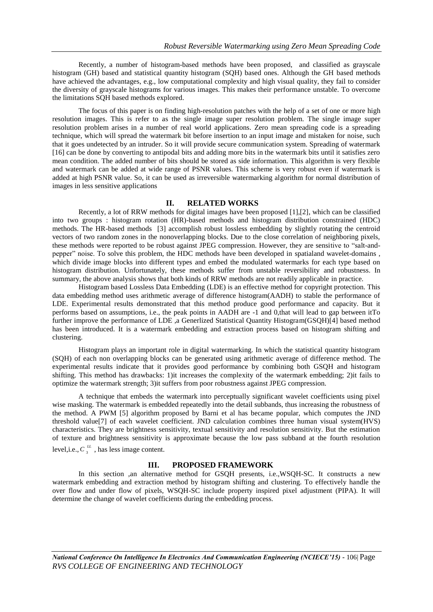Recently, a number of histogram-based methods have been proposed, and classified as grayscale histogram (GH) based and statistical quantity histogram (SQH) based ones. Although the GH based methods have achieved the advantages, e.g., low computational complexity and high visual quality, they fail to consider the diversity of grayscale histograms for various images. This makes their performance unstable. To overcome the limitations SQH based methods explored.

The focus of this paper is on finding high-resolution patches with the help of a set of one or more high resolution images. This is refer to as the single image super resolution problem. The single image super resolution problem arises in a number of real world applications. Zero mean spreading code is a spreading technique, which will spread the watermark bit before insertion to an input image and mistaken for noise, such that it goes undetected by an intruder. So it will provide secure communication system. Spreading of watermark [16] can be done by converting to antipodal bits and adding more bits in the watermark bits until it satisfies zero mean condition. The added number of bits should be stored as side information. This algorithm is very flexible and watermark can be added at wide range of PSNR values. This scheme is very robust even if watermark is added at high PSNR value. So, it can be used as irreversible watermarking algorithm for normal distribution of images in less sensitive applications

### **II. RELATED WORKS**

Recently, a lot of RRW methods for digital images have been proposed [1],[2], which can be classified into two groups : histogram rotation (HR)-based methods and histogram distribution constrained (HDC) methods. The HR-based methods [3] accomplish robust lossless embedding by slightly rotating the centroid vectors of two random zones in the nonoverlapping blocks. Due to the close correlation of neighboring pixels, these methods were reported to be robust against JPEG compression. However, they are sensitive to "salt-andpepper" noise. To solve this problem, the HDC methods have been developed in spatialand wavelet-domains , which divide image blocks into different types and embed the modulated watermarks for each type based on histogram distribution. Unfortunately, these methods suffer from unstable reversibility and robustness. In summary, the above analysis shows that both kinds of RRW methods are not readily applicable in practice.

Histogram based Lossless Data Embedding (LDE) is an effective method for copyright protection. This data embedding method uses arithmetic average of difference histogram(AADH) to stable the performance of LDE. Experimental results demonstrated that this method produce good performance and capacity. But it performs based on assumptions, i.e., the peak points in AADH are -1 and 0,that will lead to gap between itTo further improve the performance of LDE ,a Generlized Statistical Quantity Histogram(GSQH)[4] based method has been introduced. It is a watermark embedding and extraction process based on histogram shifting and clustering.

Histogram plays an important role in digital watermarking. In which the statistical quantity histogram (SQH) of each non overlapping blocks can be generated using arithmetic average of difference method. The experimental results indicate that it provides good performance by combining both GSQH and histogram shifting. This method has drawbacks: 1)it increases the complexity of the watermark embedding; 2)it fails to optimize the watermark strength; 3)it suffers from poor robustness against JPEG compression.

A technique that embeds the watermark into perceptually significant wavelet coefficients using pixel wise masking. The watermark is embedded repeatedly into the detail subbands, thus increasing the robustness of the method. A PWM [5] algorithm proposed by Barni et al has became popular, which computes the JND threshold value[7] of each wavelet coefficient. JND calculation combines three human visual system(HVS) characteristics. They are brightness sensitivity, textual sensitivity and resolution sensitivity. But the estimation of texture and brightness sensitivity is approximate because the low pass subband at the fourth resolution level, i.e.,  $C_{3}^{\mu}$ , has less image content.

### **III. PROPOSED FRAMEWORK**

In this section ,an alternative method for GSQH presents, i.e.,WSQH-SC. It constructs a new watermark embedding and extraction method by histogram shifting and clustering. To effectively handle the over flow and under flow of pixels, WSQH-SC include property inspired pixel adjustment (PIPA). It will determine the change of wavelet coefficients during the embedding process.

*National Conference On Intelligence In Electronics And Communication Engineering (NCIECE'15) -* 106| Page *RVS COLLEGE OF ENGINEERING AND TECHNOLOGY*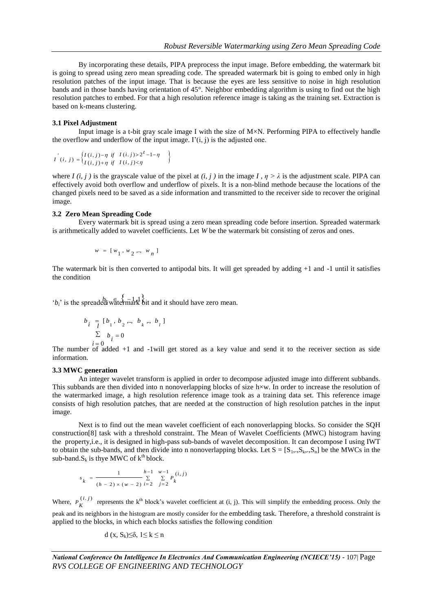By incorporating these details, PIPA preprocess the input image. Before embedding, the watermark bit is going to spread using zero mean spreading code. The spreaded watermark bit is going to embed only in high resolution patches of the input image. That is because the eyes are less sensitive to noise in high resolution bands and in those bands having orientation of 45°. Neighbor embedding algorithm is using to find out the high resolution patches to embed. For that a high resolution reference image is taking as the training set. Extraction is based on k-means clustering.

#### **3.1 Pixel Adjustment**

Input image is a t-bit gray scale image I with the size of M×N. Performing PIPA to effectively handle the overflow and underflow of the input image.  $I'(i, j)$  is the adjusted one.

$$
I^{(i)}(i, j) = \begin{cases} I(i, j) - \eta & \text{if } I(i, j) > 2^{t} - 1 - \eta \\ I(i, j) + \eta & \text{if } I(i, j) < \eta \end{cases}
$$

where *I* (*i, j*) is the grayscale value of the pixel at (*i, j*) in the image *I*,  $\eta > \lambda$  is the adjustment scale. PIPA can effectively avoid both overflow and underflow of pixels. It is a non-blind methode because the locations of the changed pixels need to be saved as a side information and transmitted to the receiver side to recover the original image.

#### **3.2 Zero Mean Spreading Code**

Every watermark bit is spread using a zero mean spreading code before insertion. Spreaded watermark is arithmetically added to wavelet coefficients. Let *W* be the watermark bit consisting of zeros and ones.

$$
w = [w_1, w_2, ..., w_n]
$$

The watermark bit is then converted to antipodal bits. It will get spreaded by adding +1 and -1 until it satisfies the condition

'*b<sub>i</sub>*' is the spreaded watermark bit and it should have zero mean.

$$
b_{i} = [b_{1}, b_{2}, \dots, b_{k}, \dots, b_{l}]
$$
  

$$
\sum_{i=0}^{l} b_{i} = 0
$$

The number of added  $+1$  and  $-1$  will get stored as a key value and send it to the receiver section as side information.

#### **3.3 MWC generation**

An integer wavelet transform is applied in order to decompose adjusted image into different subbands. This subbands are then divided into n nonoverlapping blocks of size h×w. In order to increase the resolution of the watermarked image, a high resolution reference image took as a training data set. This reference image consists of high resolution patches, that are needed at the construction of high resolution patches in the input image.

Next is to find out the mean wavelet coefficient of each nonoverlapping blocks. So consider the SQH construction[8] task with a threshold constraint. The Mean of Wavelet Coefficients (MWC) histogram having the property,i.e., it is designed in high-pass sub-bands of wavelet decomposition. It can decompose I using IWT to obtain the sub-bands, and then divide into n nonoverlapping blocks. Let  $S = [S_1, S_2, S_n]$  be the MWCs in the sub-band. $S_k$  is thye MWC of  $k^{th}$  block.

$$
s_k = \frac{1}{(h-2) \times (w-2)} \sum_{i=2}^{h-1} \sum_{j=2}^{w-1} P_k^{(i,j)}
$$

Where,  $P_{\nu}^{(i,j)}$  $P_K^{(1)}$  represents the k<sup>th</sup> block's wavelet coefficient at (i, j). This will simplify the embedding process. Only the peak and its neighbors in the histogram are mostly consider for the embedding task. Therefore, a threshold constraint is applied to the blocks, in which each blocks satisfies the following condition

$$
d(x, S_k) \leq \delta, 1 \leq k \leq n
$$

*National Conference On Intelligence In Electronics And Communication Engineering (NCIECE'15) -* 107| Page *RVS COLLEGE OF ENGINEERING AND TECHNOLOGY*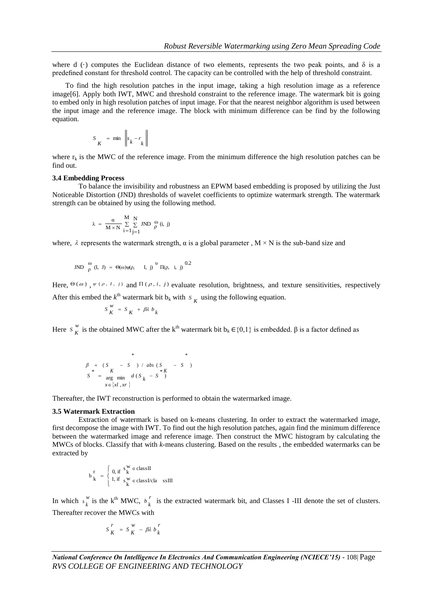where d ( $\cdot$ ) computes the Euclidean distance of two elements, represents the two peak points, and  $\delta$  is a predefined constant for threshold control. The capacity can be controlled with the help of threshold constraint.

To find the high resolution patches in the input image, taking a high resolution image as a reference image[6]. Apply both IWT, MWC and threshold constraint to the reference image. The watermark bit is going to embed only in high resolution patches of input image. For that the nearest neighbor algorithm is used between the input image and the reference image. The block with minimum difference can be find by the following equation.

$$
S_K = \min \left\| s_k - r_k \right\|
$$

where  $r_k$  is the MWC of the reference image. From the minimum difference the high resolution patches can be find out.

#### **3.4 Embedding Process**

To balance the invisibility and robustness an EPWM based embedding is proposed by utilizing the Just Noticeable Distortion (JND) thresholds of wavelet coefficients to optimize watermark strength. The watermark strength can be obtained by using the following method.

$$
\lambda \; = \; \frac{\alpha}{M \times N} \; \frac{M}{\underset{i=1}{\Sigma} \; \underset{j=1}{\Sigma} \; JND} \; \frac{\omega}{\rho} \; (i, \; j)
$$

where,  $\lambda$  represents the watermark strength,  $\alpha$  is a global parameter,  $M \times N$  is the sub-band size and

JND 
$$
\int_{\rho}^{\omega} (I, J) = \Theta(\omega) \psi(\rho, I, j) \Big)^{U} \Pi(\rho, i, j) \Big|^{0.2}
$$

Here,  $\Theta(\omega)$ ,  $\psi(\rho, I, i)$  and  $\Pi(\rho, i, j)$  evaluate resolution, brightness, and texture sensitivities, respectively

After this embed the  $k^{\text{th}}$  watermark bit  $b_k$  with  $S_K$  using the following equation.

$$
S\frac{w}{K} = S\frac{w}{K} + \beta \lambda b_{k}
$$

Here  $S_{\kappa}^{w}$ *S*<sup>*w*</sup> is the obtained MWC after the k<sup>th</sup> watermark bit b<sub>k</sub> ∈{0,1} is embedded. β is a factor defined as

$$
\beta = (S - S) / abs (S - S)
$$
  
\n
$$
S^* = \underset{x \in \{xI, xr\}}{\arg \min} d(S_k - S^*)
$$

Thereafter, the IWT reconstruction is performed to obtain the watermarked image.

#### **3.5 Watermark Extraction**

Extraction of watermark is based on k-means clustering. In order to extract the watermarked image, first decompose the image with IWT. To find out the high resolution patches, again find the minimum difference between the watermarked image and reference image. Then construct the MWC histogram by calculating the MWCs of blocks. Classify that with *k*-means clustering. Based on the results , the embedded watermarks can be extracted by

$$
b_k^r = \begin{cases} 0, \text{if } s_k^w \in \text{class II} \\ 1, \text{if } s_k^w \in \text{classI/cla} \quad \text{ssIII} \end{cases}
$$

In which  $s_k^w$  $s_k^w$  is the k<sup>th</sup> MWC,  $b_k^r$  $b_k$ <sup>'</sup> is the extracted watermark bit, and Classes I -III denote the set of clusters. Thereafter recover the MWCs with

$$
S\frac{r}{K} = S\frac{w}{K} - \beta\lambda b\frac{r}{k}
$$

*National Conference On Intelligence In Electronics And Communication Engineering (NCIECE'15) -* 108| Page *RVS COLLEGE OF ENGINEERING AND TECHNOLOGY*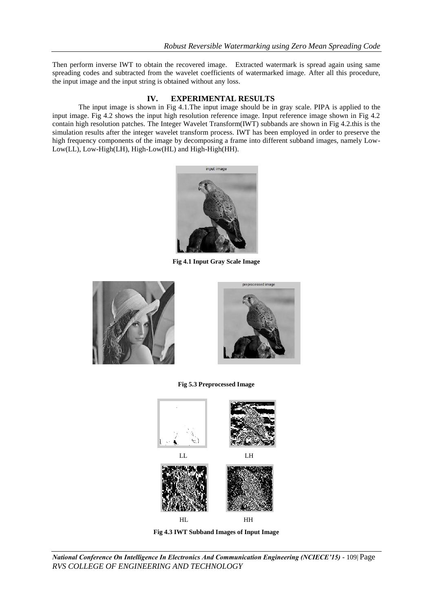Then perform inverse IWT to obtain the recovered image. Extracted watermark is spread again using same spreading codes and subtracted from the wavelet coefficients of watermarked image. After all this procedure, the input image and the input string is obtained without any loss.

# **IV. EXPERIMENTAL RESULTS**

The input image is shown in Fig 4.1.The input image should be in gray scale. PIPA is applied to the input image. Fig 4.2 shows the input high resolution reference image. Input reference image shown in Fig 4.2 contain high resolution patches. The Integer Wavelet Transform(IWT) subbands are shown in Fig 4.2.this is the simulation results after the integer wavelet transform process. IWT has been employed in order to preserve the high frequency components of the image by decomposing a frame into different subband images, namely Low-Low(LL), Low-High(LH), High-Low(HL) and High-High(HH).



**Fig 4.1 Input Gray Scale Image**





# **Fig 5.3 Preprocessed Image**



**Fig 4.3 IWT Subband Images of Input Image**

*National Conference On Intelligence In Electronics And Communication Engineering (NCIECE'15) -* 109| Page *RVS COLLEGE OF ENGINEERING AND TECHNOLOGY*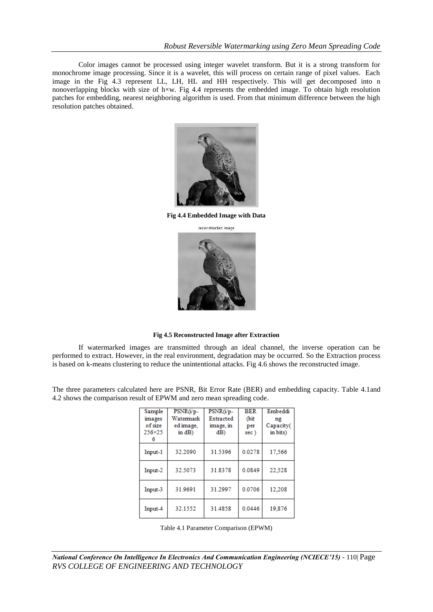Color images cannot be processed using integer wavelet transform. But it is a strong transform for monochrome image processing. Since it is a wavelet, this will process on certain range of pixel values. Each image in the Fig 4.3 represent LL, LH, HL and HH respectively. This will get decomposed into n nonoverlapping blocks with size of h $\times$ w. Fig 4.4 represents the embedded image. To obtain high resolution patches for embedding, nearest neighboring algorithm is used. From that minimum difference between the high resolution patches obtained.



**Fig 4.4 Embedded Image with Data**



**Fig 4.5 Reconstructed Image after Extraction**

If watermarked images are transmitted through an ideal channel, the inverse operation can be performed to extract. However, in the real environment, degradation may be occurred. So the Extraction process is based on k-means clustering to reduce the unintentional attacks. Fig 4.6 shows the reconstructed image.

The three parameters calculated here are PSNR, Bit Error Rate (BER) and embedding capacity. Table 4.1and 4.2 shows the comparison result of EPWM and zero mean spreading code.

| Sample<br>images<br>of size<br>256×25<br>6 | PSNR(i/p-<br>Watermark<br>ed image,<br>in $dB$ ) | PSNR(i/p-<br>Extracted<br>image, in<br>dB) | <b>BER</b><br>(bit<br>per<br>sec) | Embeddi<br>ng<br>Capacity(<br>in bits) |
|--------------------------------------------|--------------------------------------------------|--------------------------------------------|-----------------------------------|----------------------------------------|
| Input-1                                    | 32.2090                                          | 31.5396                                    | 0.0278                            | 17.566                                 |
| Input-2                                    | 32.5073                                          | 31.8378                                    | 0.0849                            | 22.528                                 |
| Input-3                                    | 31.9691                                          | 31.2997                                    | 0.0706                            | 12.208                                 |
| Input-4                                    | 32.1552                                          | 31.4858                                    | 0.0446                            | 19.876                                 |

Table 4.1 Parameter Comparison (EPWM)

*National Conference On Intelligence In Electronics And Communication Engineering (NCIECE'15) -* 110| Page *RVS COLLEGE OF ENGINEERING AND TECHNOLOGY*